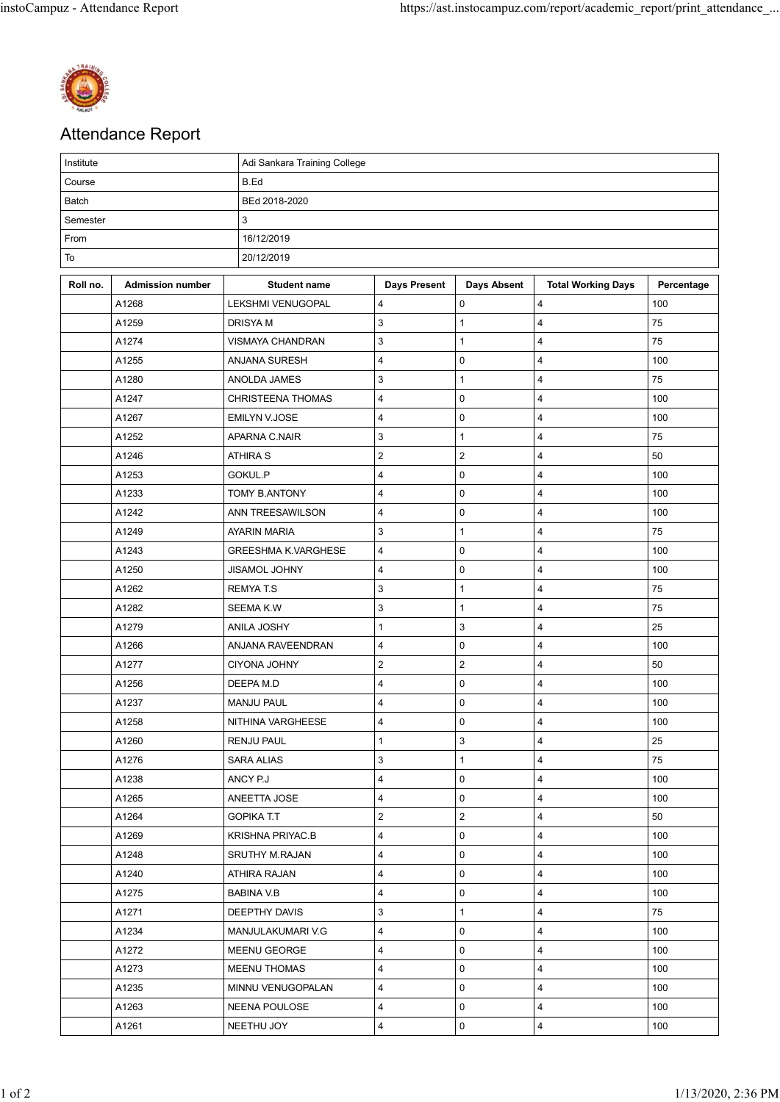

## Attendance Report

| Institute |                         | Adi Sankara Training College |                         |                       |                           |            |  |  |  |
|-----------|-------------------------|------------------------------|-------------------------|-----------------------|---------------------------|------------|--|--|--|
| Course    |                         | B.Ed                         |                         |                       |                           |            |  |  |  |
| Batch     |                         | BEd 2018-2020                |                         |                       |                           |            |  |  |  |
| Semester  |                         | 3                            |                         |                       |                           |            |  |  |  |
| From      |                         | 16/12/2019                   |                         |                       |                           |            |  |  |  |
| To        |                         | 20/12/2019                   |                         |                       |                           |            |  |  |  |
| Roll no.  | <b>Admission number</b> | <b>Student name</b>          | <b>Days Present</b>     | <b>Days Absent</b>    | <b>Total Working Days</b> | Percentage |  |  |  |
|           | A1268                   | LEKSHMI VENUGOPAL            | 4                       | 0                     | $\overline{\mathbf{4}}$   | 100        |  |  |  |
|           | A1259                   | DRISYA M                     | 3                       | $\mathbf{1}$          | 4                         | 75         |  |  |  |
|           | A1274                   | <b>VISMAYA CHANDRAN</b>      | 3                       | $\mathbf{1}$          | $\overline{\mathbf{4}}$   | 75         |  |  |  |
|           | A1255                   | ANJANA SURESH                | 4                       | $\mathbf 0$           | $\overline{\mathbf{4}}$   | 100        |  |  |  |
|           | A1280                   | ANOLDA JAMES                 | 3                       | $\mathbf{1}$          | 4                         | 75         |  |  |  |
|           | A1247                   | CHRISTEENA THOMAS            | 4                       | 0                     | 4                         | 100        |  |  |  |
|           | A1267                   | <b>EMILYN V.JOSE</b>         | $\overline{\mathbf{4}}$ | $\pmb{0}$             | $\overline{\mathbf{4}}$   | 100        |  |  |  |
|           | A1252                   | APARNA C.NAIR                | 3                       | $\mathbf{1}$          | 4                         | 75         |  |  |  |
|           | A1246                   | <b>ATHIRA S</b>              | $\overline{\mathbf{c}}$ | $\mathbf 2$           | 4                         | 50         |  |  |  |
|           | A1253                   | GOKUL.P                      | 4                       | 0                     | 4                         | 100        |  |  |  |
|           | A1233                   | <b>TOMY B.ANTONY</b>         | 4                       | $\pmb{0}$             | $\overline{\mathbf{4}}$   | 100        |  |  |  |
|           | A1242                   | ANN TREESAWILSON             | 4                       | $\pmb{0}$             | $\overline{\mathbf{4}}$   | 100        |  |  |  |
|           | A1249                   | AYARIN MARIA                 | 3                       | $\mathbf{1}$          | 4                         | 75         |  |  |  |
|           | A1243                   | <b>GREESHMA K.VARGHESE</b>   | 4                       | 0                     | $\overline{\mathbf{4}}$   | 100        |  |  |  |
|           | A1250                   | JISAMOL JOHNY                | 4                       | 0                     | 4                         | 100        |  |  |  |
|           | A1262                   | <b>REMYAT.S</b>              | 3                       | $\mathbf{1}$          | $\overline{\mathbf{4}}$   | 75         |  |  |  |
|           | A1282                   | SEEMA K.W                    | 3                       | $\mathbf{1}$          | $\overline{\mathbf{4}}$   | 75         |  |  |  |
|           | A1279                   | ANILA JOSHY                  | 1                       | 3                     | 4                         | 25         |  |  |  |
|           | A1266                   | ANJANA RAVEENDRAN            | 4                       | 0                     | $\overline{\mathbf{4}}$   | 100        |  |  |  |
|           | A1277                   | CIYONA JOHNY                 | $\overline{\mathbf{c}}$ | $\mathbf 2$           | 4                         | 50         |  |  |  |
|           | A1256                   | DEEPA M.D                    | 4                       | 0                     | 4                         | 100        |  |  |  |
|           | A1237                   | <b>MANJU PAUL</b>            | 4                       | 0                     | 4                         | 100        |  |  |  |
|           | A1258                   | NITHINA VARGHEESE            | 4                       | 0                     | 4                         | 100        |  |  |  |
|           | A1260                   | <b>RENJU PAUL</b>            | 1                       | 3                     | 4                         | 25         |  |  |  |
|           | A1276                   | <b>SARA ALIAS</b>            | 3                       | $\mathbf{1}$          | $\overline{4}$            | 75         |  |  |  |
|           | A1238                   | ANCY P.J                     | 4                       | 0                     | $\overline{\mathbf{4}}$   | 100        |  |  |  |
|           | A1265                   | ANEETTA JOSE                 | 4                       | 0                     | 4                         | 100        |  |  |  |
|           | A1264                   | <b>GOPIKA T.T</b>            | $\overline{\mathbf{c}}$ | $\mathbf{2}^{\prime}$ | $\overline{4}$            | 50         |  |  |  |
|           | A1269                   | <b>KRISHNA PRIYAC.B</b>      | 4                       | 0                     | 4                         | 100        |  |  |  |
|           | A1248                   | SRUTHY M.RAJAN               | 4                       | 0                     | $\overline{4}$            | 100        |  |  |  |
|           | A1240                   | ATHIRA RAJAN                 | 4                       | 0                     | 4                         | 100        |  |  |  |
|           | A1275                   | <b>BABINA V.B</b>            | 4                       | 0                     | 4                         | 100        |  |  |  |
|           | A1271                   | DEEPTHY DAVIS                | 3                       | $\mathbf{1}$          | $\overline{\mathbf{4}}$   | 75         |  |  |  |
|           | A1234                   | MANJULAKUMARI V.G            | 4                       | 0                     | 4                         | 100        |  |  |  |
|           | A1272                   | MEENU GEORGE                 | 4                       | 0                     | $\overline{4}$            | 100        |  |  |  |
|           | A1273                   | <b>MEENU THOMAS</b>          | 4                       | 0                     | $\overline{4}$            | 100        |  |  |  |
|           | A1235                   | MINNU VENUGOPALAN            | 4                       | $\mathbf 0$           | $\overline{4}$            | 100        |  |  |  |
|           | A1263                   | NEENA POULOSE                | 4                       | 0                     | $\overline{4}$            | 100        |  |  |  |
|           | A1261                   | NEETHU JOY                   | 4                       | 0                     | $\overline{4}$            | 100        |  |  |  |